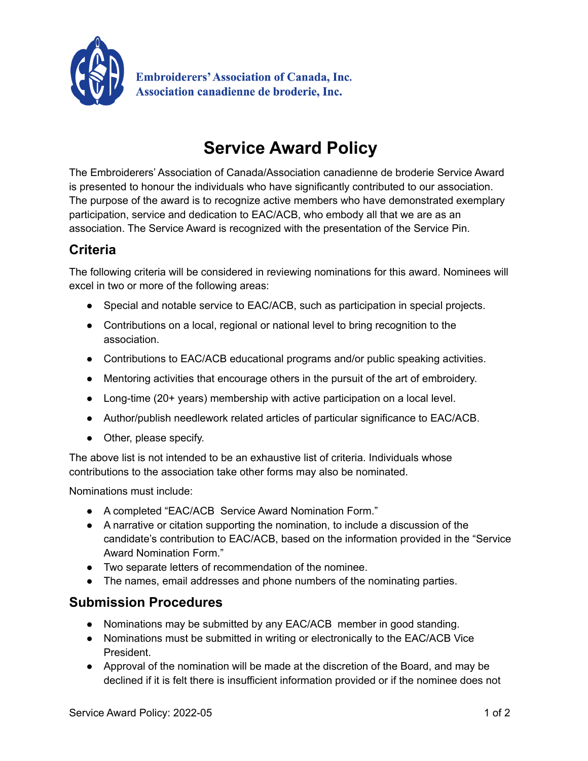

**Embroiderers' Association of Canada, Inc. Association canadienne de broderie, Inc.** 

## **Service Award Policy**

The Embroiderers' Association of Canada/Association canadienne de broderie Service Award is presented to honour the individuals who have significantly contributed to our association. The purpose of the award is to recognize active members who have demonstrated exemplary participation, service and dedication to EAC/ACB, who embody all that we are as an association. The Service Award is recognized with the presentation of the Service Pin.

## **Criteria**

The following criteria will be considered in reviewing nominations for this award. Nominees will excel in two or more of the following areas:

- Special and notable service to EAC/ACB, such as participation in special projects.
- Contributions on a local, regional or national level to bring recognition to the association.
- Contributions to EAC/ACB educational programs and/or public speaking activities.
- Mentoring activities that encourage others in the pursuit of the art of embroidery.
- Long-time (20+ years) membership with active participation on a local level.
- Author/publish needlework related articles of particular significance to EAC/ACB.
- Other, please specify.

The above list is not intended to be an exhaustive list of criteria. Individuals whose contributions to the association take other forms may also be nominated.

Nominations must include:

- A completed "EAC/ACB Service Award Nomination Form."
- A narrative or citation supporting the nomination, to include a discussion of the candidate's contribution to EAC/ACB, based on the information provided in the "Service Award Nomination Form."
- Two separate letters of recommendation of the nominee.
- The names, email addresses and phone numbers of the nominating parties.

## **Submission Procedures**

- Nominations may be submitted by any EAC/ACB member in good standing.
- Nominations must be submitted in writing or electronically to the EAC/ACB Vice President.
- Approval of the nomination will be made at the discretion of the Board, and may be declined if it is felt there is insufficient information provided or if the nominee does not